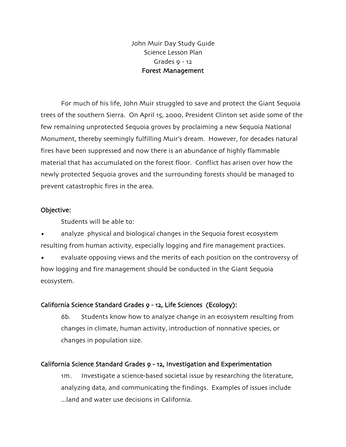John Muir Day Study Guide Science Lesson Plan Grades  $9 - 12$ Forest Management

For much of his life, John Muir struggled to save and protect the Giant Sequoia trees of the southern Sierra. On April 15, 2000, President Clinton set aside some of the few remaining unprotected Sequoia groves by proclaiming a new Sequoia National Monument, thereby seemingly fulfilling Muir's dream. However, for decades natural fires have been suppressed and now there is an abundance of highly flammable material that has accumulated on the forest floor. Conflict has arisen over how the newly protected Sequoia groves and the surrounding forests should be managed to prevent catastrophic fires in the area.

### Objective:

Students will be able to:

analyze physical and biological changes in the Sequoia forest ecosystem resulting from human activity, especially logging and fire management practices.

• evaluate opposing views and the merits of each position on the controversy of how logging and fire management should be conducted in the Giant Sequoia ecosystem.

### California Science Standard Grades 9 - 12, Life Sciences (Ecology):

6b. Students know how to analyze change in an ecosystem resulting from changes in climate, human activity, introduction of nonnative species, or changes in population size.

### California Science Standard Grades 9 - 12, Investigation and Experimentation

1m. Investigate a science-based societal issue by researching the literature, analyzing data, and communicating the findings. Examples of issues include  $\Box$  and and water use decisions in California.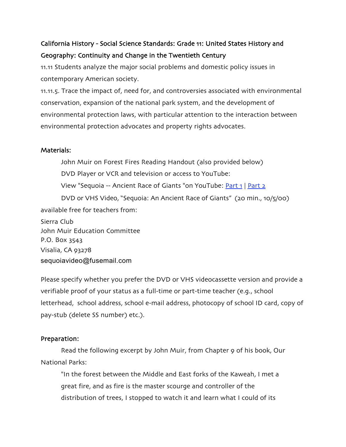# California History - Social Science Standards: Grade 11: United States History and Geography: Continuity and Change in the Twentieth Century

11.11 Students analyze the major social problems and domestic policy issues in contemporary American society.

11.11.5. Trace the impact of, need for, and controversies associated with environmental conservation, expansion of the national park system, and the development of environmental protection laws, with particular attention to the interaction between environmental protection advocates and property rights advocates.

### Materials:

John Muir on Forest Fires Reading Handout (also provided below) DVD Player or VCR and television or access to YouTube: View "Sequoia -- Ancient Race of Giants "on YouTube: Part 1 | Part 2 DVD or VHS Video, "Sequoia: An Ancient Race of Giants" (20 min., 10/5/00) available free for teachers from: Sierra Club

John Muir Education Committee P.O. Box 3543 Visalia, CA 93278 sequoiavideo@fusemail.com

Please specify whether you prefer the DVD or VHS videocassette version and provide a verifiable proof of your status as a full-time or part-time teacher (e.g., school letterhead, school address, school e-mail address, photocopy of school ID card, copy of pay-stub (delete SS number) etc.).

### Preparation:

Read the following excerpt by John Muir, from Chapter 9 of his book, Our National Parks:

"In the forest between the Middle and East forks of the Kaweah, I met a great fire, and as fire is the master scourge and controller of the distribution of trees, I stopped to watch it and learn what I could of its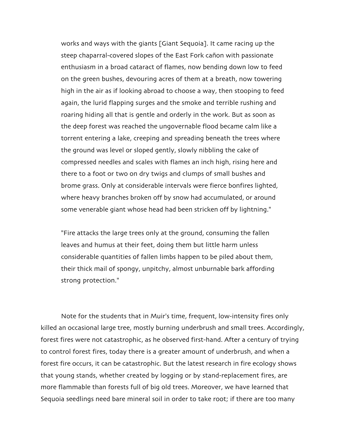works and ways with the giants [Giant Sequoia]. It came racing up the steep chaparral-covered slopes of the East Fork cañon with passionate enthusiasm in a broad cataract of flames, now bending down low to feed on the green bushes, devouring acres of them at a breath, now towering high in the air as if looking abroad to choose a way, then stooping to feed again, the lurid flapping surges and the smoke and terrible rushing and roaring hiding all that is gentle and orderly in the work. But as soon as the deep forest was reached the ungovernable flood became calm like a torrent entering a lake, creeping and spreading beneath the trees where the ground was level or sloped gently, slowly nibbling the cake of compressed needles and scales with flames an inch high, rising here and there to a foot or two on dry twigs and clumps of small bushes and brome grass. Only at considerable intervals were fierce bonfires lighted, where heavy branches broken off by snow had accumulated, or around some venerable giant whose head had been stricken off by lightning."

"Fire attacks the large trees only at the ground, consuming the fallen leaves and humus at their feet, doing them but little harm unless considerable quantities of fallen limbs happen to be piled about them, their thick mail of spongy, unpitchy, almost unburnable bark affording strong protection."

Note for the students that in Muir's time, frequent, low-intensity fires only killed an occasional large tree, mostly burning underbrush and small trees. Accordingly, forest fires were not catastrophic, as he observed first-hand. After a century of trying to control forest fires, today there is a greater amount of underbrush, and when a forest fire occurs, it can be catastrophic. But the latest research in fire ecology shows that young stands, whether created by logging or by stand-replacement fires, are more flammable than forests full of big old trees. Moreover, we have learned that Sequoia seedlings need bare mineral soil in order to take root; if there are too many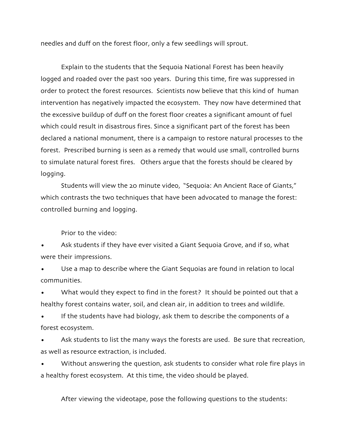needles and duff on the forest floor, only a few seedlings will sprout.

Explain to the students that the Sequoia National Forest has been heavily logged and roaded over the past 100 years. During this time, fire was suppressed in order to protect the forest resources. Scientists now believe that this kind of human intervention has negatively impacted the ecosystem. They now have determined that the excessive buildup of duff on the forest floor creates a significant amount of fuel which could result in disastrous fires. Since a significant part of the forest has been declared a national monument, there is a campaign to restore natural processes to the forest. Prescribed burning is seen as a remedy that would use small, controlled burns to simulate natural forest fires. Others argue that the forests should be cleared by logging.

Students will view the 20 minute video, "Sequoia: An Ancient Race of Giants," which contrasts the two techniques that have been advocated to manage the forest: controlled burning and logging.

Prior to the video:

Ask students if they have ever visited a Giant Sequoia Grove, and if so, what were their impressions.

Use a map to describe where the Giant Sequoias are found in relation to local communities.

What would they expect to find in the forest? It should be pointed out that a healthy forest contains water, soil, and clean air, in addition to trees and wildlife.

If the students have had biology, ask them to describe the components of a forest ecosystem.

Ask students to list the many ways the forests are used. Be sure that recreation, as well as resource extraction, is included.

Without answering the question, ask students to consider what role fire plays in a healthy forest ecosystem. At this time, the video should be played.

After viewing the videotape, pose the following questions to the students: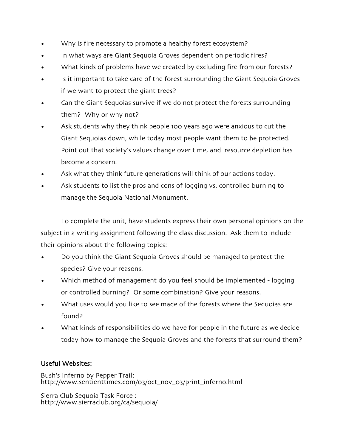- Why is fire necessary to promote a healthy forest ecosystem?
- In what ways are Giant Sequoia Groves dependent on periodic fires?
- What kinds of problems have we created by excluding fire from our forests?
- Is it important to take care of the forest surrounding the Giant Sequoia Groves if we want to protect the giant trees?
- Can the Giant Sequoias survive if we do not protect the forests surrounding them? Why or why not?
- Ask students why they think people 100 years ago were anxious to cut the Giant Sequoias down, while today most people want them to be protected. Point out that society's values change over time, and resource depletion has become a concern.
- Ask what they think future generations will think of our actions today.
- Ask students to list the pros and cons of logging vs. controlled burning to manage the Sequoia National Monument.

To complete the unit, have students express their own personal opinions on the subject in a writing assignment following the class discussion. Ask them to include their opinions about the following topics:

- Do you think the Giant Sequoia Groves should be managed to protect the species? Give your reasons.
- Which method of management do you feel should be implemented logging or controlled burning? Or some combination? Give your reasons.
- What uses would you like to see made of the forests where the Sequoias are found?
- What kinds of responsibilities do we have for people in the future as we decide today how to manage the Sequoia Groves and the forests that surround them?

## Useful Websites:

Bush's Inferno by Pepper Trail: http://www.sentienttimes.com/03/0ct\_nov\_03/print\_inferno.html

Sierra Club Sequoia Task Force : http://www.sierraclub.org/ca/sequoia/